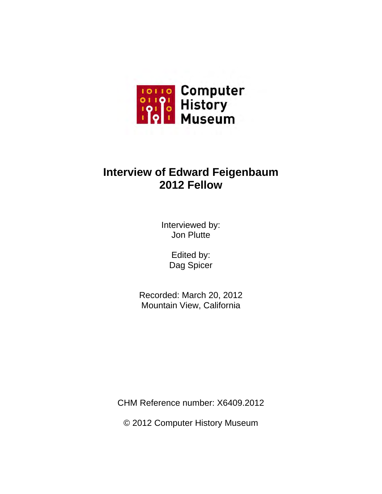

# **Interview of Edward Feigenbaum 2012 Fellow**

Interviewed by: Jon Plutte

> Edited by: Dag Spicer

Recorded: March 20, 2012 Mountain View, California

CHM Reference number: X6409.2012

© 2012 Computer History Museum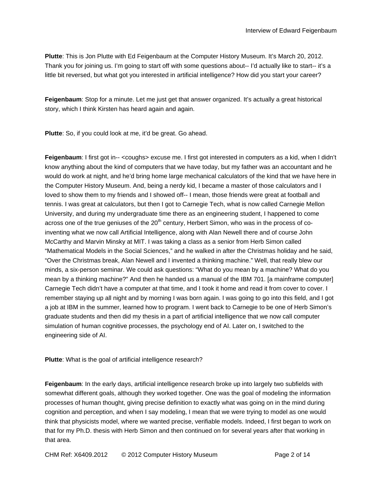**Plutte**: This is Jon Plutte with Ed Feigenbaum at the Computer History Museum. It's March 20, 2012. Thank you for joining us. I'm going to start off with some questions about-- I'd actually like to start-- it's a little bit reversed, but what got you interested in artificial intelligence? How did you start your career?

**Feigenbaum**: Stop for a minute. Let me just get that answer organized. It's actually a great historical story, which I think Kirsten has heard again and again.

**Plutte**: So, if you could look at me, it'd be great. Go ahead.

**Feigenbaum**: I first got in-- <coughs> excuse me. I first got interested in computers as a kid, when I didn't know anything about the kind of computers that we have today, but my father was an accountant and he would do work at night, and he'd bring home large mechanical calculators of the kind that we have here in the Computer History Museum. And, being a nerdy kid, I became a master of those calculators and I loved to show them to my friends and I showed off-- I mean, those friends were great at football and tennis. I was great at calculators, but then I got to Carnegie Tech, what is now called Carnegie Mellon University, and during my undergraduate time there as an engineering student, I happened to come across one of the true geniuses of the  $20<sup>th</sup>$  century, Herbert Simon, who was in the process of coinventing what we now call Artificial Intelligence, along with Alan Newell there and of course John McCarthy and Marvin Minsky at MIT. I was taking a class as a senior from Herb Simon called "Mathematical Models in the Social Sciences," and he walked in after the Christmas holiday and he said, "Over the Christmas break, Alan Newell and I invented a thinking machine." Well, that really blew our minds, a six-person seminar. We could ask questions: "What do you mean by a machine? What do you mean by a thinking machine?" And then he handed us a manual of the IBM 701. [a mainframe computer] Carnegie Tech didn't have a computer at that time, and I took it home and read it from cover to cover. I remember staying up all night and by morning I was born again. I was going to go into this field, and I got a job at IBM in the summer, learned how to program. I went back to Carnegie to be one of Herb Simon's graduate students and then did my thesis in a part of artificial intelligence that we now call computer simulation of human cognitive processes, the psychology end of AI. Later on, I switched to the engineering side of AI.

**Plutte**: What is the goal of artificial intelligence research?

**Feigenbaum**: In the early days, artificial intelligence research broke up into largely two subfields with somewhat different goals, although they worked together. One was the goal of modeling the information processes of human thought, giving precise definition to exactly what was going on in the mind during cognition and perception, and when I say modeling, I mean that we were trying to model as one would think that physicists model, where we wanted precise, verifiable models. Indeed, I first began to work on that for my Ph.D. thesis with Herb Simon and then continued on for several years after that working in that area.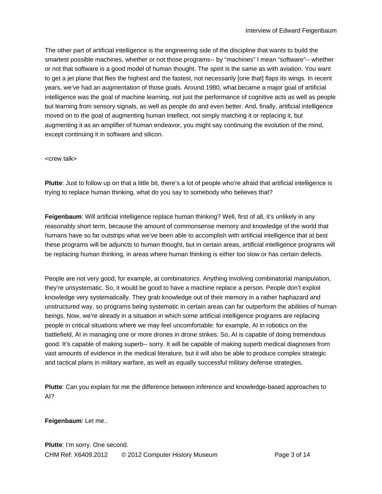The other part of artificial intelligence is the engineering side of the discipline that wants to build the smartest possible machines, whether or not those programs-- by "machines" I mean "software"-- whether or not that software is a good model of human thought. The spirit is the same as with aviation. You want to get a jet plane that flies the highest and the fastest, not necessarily [one that] flaps its wings. In recent years, we've had an augmentation of those goals. Around 1980, what became a major goal of artificial intelligence was the goal of machine learning, not just the performance of cognitive acts as well as people but learning from sensory signals, as well as people do and even better. And, finally, artificial intelligence moved on to the goal of augmenting human intellect, not simply matching it or replacing it, but augmenting it as an amplifier of human endeavor, you might say continuing the evolution of the mind, except continuing it in software and silicon.

#### <crew talk>

**Plutte**: Just to follow up on that a little bit, there's a lot of people who're afraid that artificial intelligence is trying to replace human thinking, what do you say to somebody who believes that?

**Feigenbaum**: Will artificial intelligence replace human thinking? Well, first of all, it's unlikely in any reasonably short term, because the amount of commonsense memory and knowledge of the world that humans have so far outstrips what we've been able to accomplish with artificial intelligence that at best these programs will be adjuncts to human thought, but in certain areas, artificial intelligence programs will be replacing human thinking, in areas where human thinking is either too slow or has certain defects.

People are not very good, for example, at combinatorics. Anything involving combinatorial manipulation, they're unsystematic. So, it would be good to have a machine replace a person. People don't exploit knowledge very systematically. They grab knowledge out of their memory in a rather haphazard and unstructured way, so programs being systematic in certain areas can far outperform the abilities of human beings. Now, we're already in a situation in which some artificial intelligence programs are replacing people in critical situations where we may feel uncomfortable: for example, AI in robotics on the battlefield, AI in managing one or more drones in drone strikes. So, AI is capable of doing tremendous good. It's capable of making superb-- sorry. It will be capable of making superb medical diagnoses from vast amounts of evidence in the medical literature, but it will also be able to produce complex strategic and tactical plans in military warfare, as well as equally successful military defense strategies.

**Plutte**: Can you explain for me the difference between inference and knowledge-based approaches to AI?

#### **Feigenbaum**: Let me..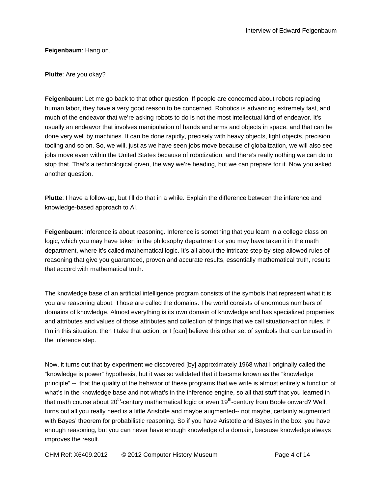## **Feigenbaum**: Hang on.

## **Plutte**: Are you okay?

**Feigenbaum**: Let me go back to that other question. If people are concerned about robots replacing human labor, they have a very good reason to be concerned. Robotics is advancing extremely fast, and much of the endeavor that we're asking robots to do is not the most intellectual kind of endeavor. It's usually an endeavor that involves manipulation of hands and arms and objects in space, and that can be done very well by machines. It can be done rapidly, precisely with heavy objects, light objects, precision tooling and so on. So, we will, just as we have seen jobs move because of globalization, we will also see jobs move even within the United States because of robotization, and there's really nothing we can do to stop that. That's a technological given, the way we're heading, but we can prepare for it. Now you asked another question.

**Plutte**: I have a follow-up, but I'll do that in a while. Explain the difference between the inference and knowledge-based approach to AI.

**Feigenbaum**: Inference is about reasoning. Inference is something that you learn in a college class on logic, which you may have taken in the philosophy department or you may have taken it in the math department, where it's called mathematical logic. It's all about the intricate step-by-step allowed rules of reasoning that give you guaranteed, proven and accurate results, essentially mathematical truth, results that accord with mathematical truth.

The knowledge base of an artificial intelligence program consists of the symbols that represent what it is you are reasoning about. Those are called the domains. The world consists of enormous numbers of domains of knowledge. Almost everything is its own domain of knowledge and has specialized properties and attributes and values of those attributes and collection of things that we call situation-action rules. If I'm in this situation, then I take that action; or I [can] believe this other set of symbols that can be used in the inference step.

Now, it turns out that by experiment we discovered [by] approximately 1968 what I originally called the "knowledge is power" hypothesis, but it was so validated that it became known as the "knowledge principle" -- that the quality of the behavior of these programs that we write is almost entirely a function of what's in the knowledge base and not what's in the inference engine, so all that stuff that you learned in that math course about  $20<sup>th</sup>$ -century mathematical logic or even  $19<sup>th</sup>$ -century from Boole onward? Well, turns out all you really need is a little Aristotle and maybe augmented-- not maybe, certainly augmented with Bayes' theorem for probabilistic reasoning. So if you have Aristotle and Bayes in the box, you have enough reasoning, but you can never have enough knowledge of a domain, because knowledge always improves the result.

CHM Ref: X6409.2012 © 2012 Computer History Museum Page 4 of 14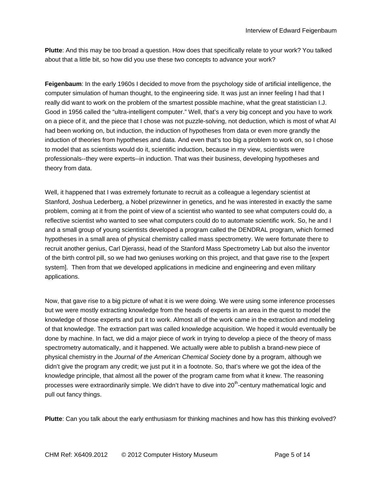**Plutte**: And this may be too broad a question. How does that specifically relate to your work? You talked about that a little bit, so how did you use these two concepts to advance your work?

**Feigenbaum**: In the early 1960s I decided to move from the psychology side of artificial intelligence, the computer simulation of human thought, to the engineering side. It was just an inner feeling I had that I really did want to work on the problem of the smartest possible machine, what the great statistician I.J. Good in 1956 called the "ultra-intelligent computer." Well, that's a very big concept and you have to work on a piece of it, and the piece that I chose was not puzzle-solving, not deduction, which is most of what AI had been working on, but induction, the induction of hypotheses from data or even more grandly the induction of theories from hypotheses and data. And even that's too big a problem to work on, so I chose to model that as scientists would do it, scientific induction, because in my view, scientists were professionals--they were experts--in induction. That was their business, developing hypotheses and theory from data.

Well, it happened that I was extremely fortunate to recruit as a colleague a legendary scientist at Stanford, Joshua Lederberg, a Nobel prizewinner in genetics, and he was interested in exactly the same problem, coming at it from the point of view of a scientist who wanted to see what computers could do, a reflective scientist who wanted to see what computers could do to automate scientific work. So, he and I and a small group of young scientists developed a program called the DENDRAL program, which formed hypotheses in a small area of physical chemistry called mass spectrometry. We were fortunate there to recruit another genius, Carl Djerassi, head of the Stanford Mass Spectrometry Lab but also the inventor of the birth control pill, so we had two geniuses working on this project, and that gave rise to the [expert system]. Then from that we developed applications in medicine and engineering and even military applications.

Now, that gave rise to a big picture of what it is we were doing. We were using some inference processes but we were mostly extracting knowledge from the heads of experts in an area in the quest to model the knowledge of those experts and put it to work. Almost all of the work came in the extraction and modeling of that knowledge. The extraction part was called knowledge acquisition. We hoped it would eventually be done by machine. In fact, we did a major piece of work in trying to develop a piece of the theory of mass spectrometry automatically, and it happened. We actually were able to publish a brand-new piece of physical chemistry in the *Journal of the American Chemical Society* done by a program, although we didn't give the program any credit; we just put it in a footnote. So, that's where we got the idea of the knowledge principle, that almost all the power of the program came from what it knew. The reasoning processes were extraordinarily simple. We didn't have to dive into 20<sup>th</sup>-century mathematical logic and pull out fancy things.

**Plutte**: Can you talk about the early enthusiasm for thinking machines and how has this thinking evolved?

CHM Ref: X6409.2012 © 2012 Computer History Museum Page 5 of 14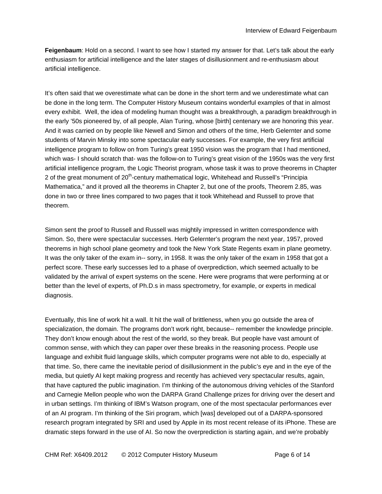**Feigenbaum**: Hold on a second. I want to see how I started my answer for that. Let's talk about the early enthusiasm for artificial intelligence and the later stages of disillusionment and re-enthusiasm about artificial intelligence.

It's often said that we overestimate what can be done in the short term and we underestimate what can be done in the long term. The Computer History Museum contains wonderful examples of that in almost every exhibit. Well, the idea of modeling human thought was a breakthrough, a paradigm breakthrough in the early '50s pioneered by, of all people, Alan Turing, whose [birth] centenary we are honoring this year. And it was carried on by people like Newell and Simon and others of the time, Herb Gelernter and some students of Marvin Minsky into some spectacular early successes. For example, the very first artificial intelligence program to follow on from Turing's great 1950 vision was the program that I had mentioned, which was- I should scratch that- was the follow-on to Turing's great vision of the 1950s was the very first artificial intelligence program, the Logic Theorist program, whose task it was to prove theorems in Chapter 2 of the great monument of 20<sup>th</sup>-century mathematical logic, Whitehead and Russell's "Principia Mathematica," and it proved all the theorems in Chapter 2, but one of the proofs, Theorem 2.85, was done in two or three lines compared to two pages that it took Whitehead and Russell to prove that theorem.

Simon sent the proof to Russell and Russell was mightily impressed in written correspondence with Simon. So, there were spectacular successes. Herb Gelernter's program the next year, 1957, proved theorems in high school plane geometry and took the New York State Regents exam in plane geometry. It was the only taker of the exam in-- sorry, in 1958. It was the only taker of the exam in 1958 that got a perfect score. These early successes led to a phase of overprediction, which seemed actually to be validated by the arrival of expert systems on the scene. Here were programs that were performing at or better than the level of experts, of Ph.D.s in mass spectrometry, for example, or experts in medical diagnosis.

Eventually, this line of work hit a wall. It hit the wall of brittleness, when you go outside the area of specialization, the domain. The programs don't work right, because-- remember the knowledge principle. They don't know enough about the rest of the world, so they break. But people have vast amount of common sense, with which they can paper over these breaks in the reasoning process. People use language and exhibit fluid language skills, which computer programs were not able to do, especially at that time. So, there came the inevitable period of disillusionment in the public's eye and in the eye of the media, but quietly AI kept making progress and recently has achieved very spectacular results, again, that have captured the public imagination. I'm thinking of the autonomous driving vehicles of the Stanford and Carnegie Mellon people who won the DARPA Grand Challenge prizes for driving over the desert and in urban settings. I'm thinking of IBM's Watson program, one of the most spectacular performances ever of an AI program. I'm thinking of the Siri program, which [was] developed out of a DARPA-sponsored research program integrated by SRI and used by Apple in its most recent release of its iPhone. These are dramatic steps forward in the use of AI. So now the overprediction is starting again, and we're probably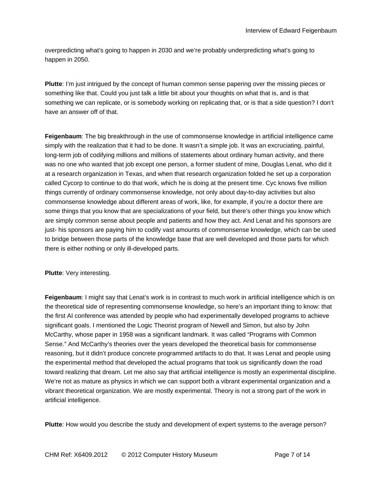overpredicting what's going to happen in 2030 and we're probably underpredicting what's going to happen in 2050.

**Plutte**: I'm just intrigued by the concept of human common sense papering over the missing pieces or something like that. Could you just talk a little bit about your thoughts on what that is, and is that something we can replicate, or is somebody working on replicating that, or is that a side question? I don't have an answer off of that.

**Feigenbaum**: The big breakthrough in the use of commonsense knowledge in artificial intelligence came simply with the realization that it had to be done. It wasn't a simple job. It was an excruciating, painful, long-term job of codifying millions and millions of statements about ordinary human activity, and there was no one who wanted that job except one person, a former student of mine, Douglas Lenat, who did it at a research organization in Texas, and when that research organization folded he set up a corporation called Cycorp to continue to do that work, which he is doing at the present time. Cyc knows five million things currently of ordinary commonsense knowledge, not only about day-to-day activities but also commonsense knowledge about different areas of work, like, for example, if you're a doctor there are some things that you know that are specializations of your field, but there's other things you know which are simply common sense about people and patients and how they act. And Lenat and his sponsors are just- his sponsors are paying him to codify vast amounts of commonsense knowledge, which can be used to bridge between those parts of the knowledge base that are well developed and those parts for which there is either nothing or only ill-developed parts.

**Plutte**: Very interesting.

**Feigenbaum**: I might say that Lenat's work is in contrast to much work in artificial intelligence which is on the theoretical side of representing commonsense knowledge, so here's an important thing to know: that the first AI conference was attended by people who had experimentally developed programs to achieve significant goals. I mentioned the Logic Theorist program of Newell and Simon, but also by John McCarthy, whose paper in 1958 was a significant landmark. It was called "Programs with Common Sense." And McCarthy's theories over the years developed the theoretical basis for commonsense reasoning, but it didn't produce concrete programmed artifacts to do that. It was Lenat and people using the experimental method that developed the actual programs that took us significantly down the road toward realizing that dream. Let me also say that artificial intelligence is mostly an experimental discipline. We're not as mature as physics in which we can support both a vibrant experimental organization and a vibrant theoretical organization. We are mostly experimental. Theory is not a strong part of the work in artificial intelligence.

**Plutte**: How would you describe the study and development of expert systems to the average person?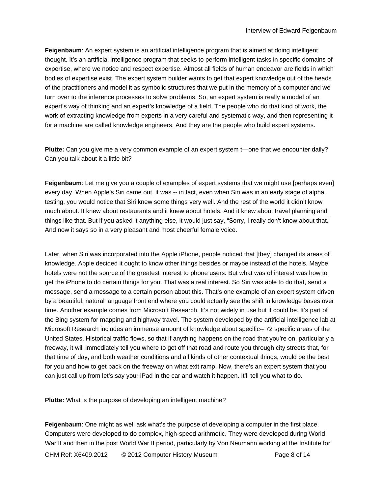**Feigenbaum**: An expert system is an artificial intelligence program that is aimed at doing intelligent thought. It's an artificial intelligence program that seeks to perform intelligent tasks in specific domains of expertise, where we notice and respect expertise. Almost all fields of human endeavor are fields in which bodies of expertise exist. The expert system builder wants to get that expert knowledge out of the heads of the practitioners and model it as symbolic structures that we put in the memory of a computer and we turn over to the inference processes to solve problems. So, an expert system is really a model of an expert's way of thinking and an expert's knowledge of a field. The people who do that kind of work, the work of extracting knowledge from experts in a very careful and systematic way, and then representing it for a machine are called knowledge engineers. And they are the people who build expert systems.

**Plutte:** Can you give me a very common example of an expert system t—one that we encounter daily? Can you talk about it a little bit?

**Feigenbaum**: Let me give you a couple of examples of expert systems that we might use [perhaps even] every day. When Apple's Siri came out, it was -- in fact, even when Siri was in an early stage of alpha testing, you would notice that Siri knew some things very well. And the rest of the world it didn't know much about. It knew about restaurants and it knew about hotels. And it knew about travel planning and things like that. But if you asked it anything else, it would just say, "Sorry, I really don't know about that." And now it says so in a very pleasant and most cheerful female voice.

Later, when Siri was incorporated into the Apple iPhone, people noticed that [they] changed its areas of knowledge. Apple decided it ought to know other things besides or maybe instead of the hotels. Maybe hotels were not the source of the greatest interest to phone users. But what was of interest was how to get the iPhone to do certain things for you. That was a real interest. So Siri was able to do that, send a message, send a message to a certain person about this. That's one example of an expert system driven by a beautiful, natural language front end where you could actually see the shift in knowledge bases over time. Another example comes from Microsoft Research. It's not widely in use but it could be. It's part of the Bing system for mapping and highway travel. The system developed by the artificial intelligence lab at Microsoft Research includes an immense amount of knowledge about specific-- 72 specific areas of the United States. Historical traffic flows, so that if anything happens on the road that you're on, particularly a freeway, it will immediately tell you where to get off that road and route you through city streets that, for that time of day, and both weather conditions and all kinds of other contextual things, would be the best for you and how to get back on the freeway on what exit ramp. Now, there's an expert system that you can just call up from let's say your iPad in the car and watch it happen. It'll tell you what to do.

**Plutte:** What is the purpose of developing an intelligent machine?

**Feigenbaum**: One might as well ask what's the purpose of developing a computer in the first place. Computers were developed to do complex, high-speed arithmetic. They were developed during World War II and then in the post World War II period, particularly by Von Neumann working at the Institute for

CHM Ref: X6409.2012 © 2012 Computer History Museum Page 8 of 14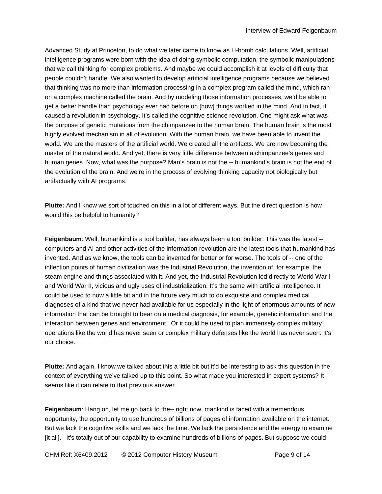Advanced Study at Princeton, to do what we later came to know as H-bomb calculations. Well, artificial intelligence programs were born with the idea of doing symbolic computation, the symbolic manipulations that we call thinking for complex problems. And maybe we could accomplish it at levels of difficulty that people couldn't handle. We also wanted to develop artificial intelligence programs because we believed that thinking was no more than information processing in a complex program called the mind, which ran on a complex machine called the brain. And by modeling those information processes, we'd be able to get a better handle than psychology ever had before on [how] things worked in the mind. And in fact, it caused a revolution in psychology. It's called the cognitive science revolution. One might ask what was the purpose of genetic mutations from the chimpanzee to the human brain. The human brain is the most highly evolved mechanism in all of evolution. With the human brain, we have been able to invent the world. We are the masters of the artificial world. We created all the artifacts. We are now becoming the master of the natural world. And yet, there is very little difference between a chimpanzee's genes and human genes. Now, what was the purpose? Man's brain is not the -- humankind's brain is not the end of the evolution of the brain. And we're in the process of evolving thinking capacity not biologically but artifactually with AI programs.

**Plutte:** And I know we sort of touched on this in a lot of different ways. But the direct question is how would this be helpful to humanity?

**Feigenbaum**: Well, humankind is a tool builder, has always been a tool builder. This was the latest - computers and AI and other activities of the information revolution are the latest tools that humankind has invented. And as we know, the tools can be invented for better or for worse. The tools of -- one of the inflection points of human civilization was the Industrial Revolution, the invention of, for example, the steam engine and things associated with it. And yet, the Industrial Revolution led directly to World War I and World War II, vicious and ugly uses of industrialization. It's the same with artificial intelligence. It could be used to now a little bit and in the future very much to do exquisite and complex medical diagnoses of a kind that we never had available for us especially in the light of enormous amounts of new information that can be brought to bear on a medical diagnosis, for example, genetic information and the interaction between genes and environment. Or it could be used to plan immensely complex military operations like the world has never seen or complex military defenses like the world has never seen. It's our choice.

**Plutte:** And again, I know we talked about this a little bit but it'd be interesting to ask this question in the context of everything we've talked up to this point. So what made you interested in expert systems? It seems like it can relate to that previous answer.

**Feigenbaum**: Hang on, let me go back to the-- right now, mankind is faced with a tremendous opportunity, the opportunity to use hundreds of billions of pages of information available on the internet. But we lack the cognitive skills and we lack the time. We lack the persistence and the energy to examine [it all]. It's totally out of our capability to examine hundreds of billions of pages. But suppose we could

CHM Ref: X6409.2012 © 2012 Computer History Museum Page 9 of 14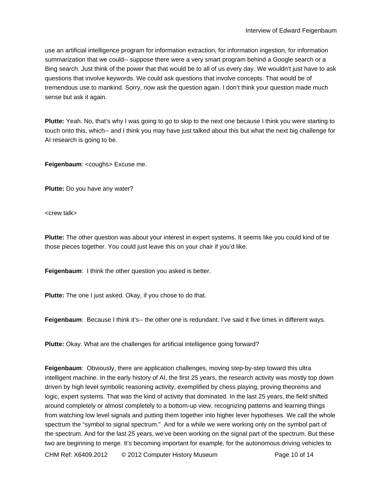use an artificial intelligence program for information extraction, for information ingestion, for information summarization that we could-- suppose there were a very smart program behind a Google search or a Bing search. Just think of the power that that would be to all of us every day. We wouldn't just have to ask questions that involve keywords. We could ask questions that involve concepts. That would be of tremendous use to mankind. Sorry, now ask the question again. I don't think your question made much sense but ask it again.

**Plutte:** Yeah. No, that's why I was going to go to skip to the next one because I think you were starting to touch onto this, which-- and I think you may have just talked about this but what the next big challenge for AI research is going to be.

**Feigenbaum**: <coughs> Excuse me.

**Plutte:** Do you have any water?

<crew talk>

**Plutte:** The other question was about your interest in expert systems. It seems like you could kind of tie those pieces together. You could just leave this on your chair if you'd like.

**Feigenbaum**: I think the other question you asked is better.

**Plutte:** The one I just asked. Okay, if you chose to do that.

**Feigenbaum**: Because I think it's-- the other one is redundant. I've said it five times in different ways.

**Plutte:** Okay. What are the challenges for artificial intelligence going forward?

**Feigenbaum**: Obviously, there are application challenges, moving step-by-step toward this ultra intelligent machine. In the early history of AI, the first 25 years, the research activity was mostly top down driven by high level symbolic reasoning activity, exemplified by chess playing, proving theorems and logic, expert systems. That was the kind of activity that dominated. In the last 25 years, the field shifted around completely or almost completely to a bottom-up view, recognizing patterns and learning things from watching low level signals and putting them together into higher lever hypotheses. We call the whole spectrum the "symbol to signal spectrum." And for a while we were working only on the symbol part of the spectrum. And for the last 25 years, we've been working on the signal part of the spectrum. But these two are beginning to merge. It's becoming important for example, for the autonomous driving vehicles to

CHM Ref: X6409.2012 © 2012 Computer History Museum Page 10 of 14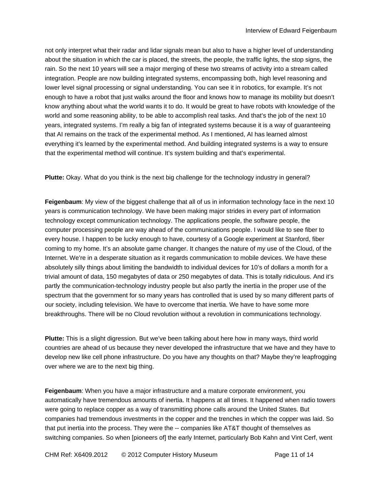not only interpret what their radar and lidar signals mean but also to have a higher level of understanding about the situation in which the car is placed, the streets, the people, the traffic lights, the stop signs, the rain. So the next 10 years will see a major merging of these two streams of activity into a stream called integration. People are now building integrated systems, encompassing both, high level reasoning and lower level signal processing or signal understanding. You can see it in robotics, for example. It's not enough to have a robot that just walks around the floor and knows how to manage its mobility but doesn't know anything about what the world wants it to do. It would be great to have robots with knowledge of the world and some reasoning ability, to be able to accomplish real tasks. And that's the job of the next 10 years, integrated systems. I'm really a big fan of integrated systems because it is a way of guaranteeing that AI remains on the track of the experimental method. As I mentioned, AI has learned almost everything it's learned by the experimental method. And building integrated systems is a way to ensure that the experimental method will continue. It's system building and that's experimental.

**Plutte:** Okay. What do you think is the next big challenge for the technology industry in general?

**Feigenbaum**: My view of the biggest challenge that all of us in information technology face in the next 10 years is communication technology. We have been making major strides in every part of information technology except communication technology. The applications people, the software people, the computer processing people are way ahead of the communications people. I would like to see fiber to every house. I happen to be lucky enough to have, courtesy of a Google experiment at Stanford, fiber coming to my home. It's an absolute game changer. It changes the nature of my use of the Cloud, of the Internet. We're in a desperate situation as it regards communication to mobile devices. We have these absolutely silly things about limiting the bandwidth to individual devices for 10's of dollars a month for a trivial amount of data, 150 megabytes of data or 250 megabytes of data. This is totally ridiculous. And it's partly the communication-technology industry people but also partly the inertia in the proper use of the spectrum that the government for so many years has controlled that is used by so many different parts of our society, including television. We have to overcome that inertia. We have to have some more breakthroughs. There will be no Cloud revolution without a revolution in communications technology.

**Plutte:** This is a slight digression. But we've been talking about here how in many ways, third world countries are ahead of us because they never developed the infrastructure that we have and they have to develop new like cell phone infrastructure. Do you have any thoughts on that? Maybe they're leapfrogging over where we are to the next big thing.

**Feigenbaum**: When you have a major infrastructure and a mature corporate environment, you automatically have tremendous amounts of inertia. It happens at all times. It happened when radio towers were going to replace copper as a way of transmitting phone calls around the United States. But companies had tremendous investments in the copper and the trenches in which the copper was laid. So that put inertia into the process. They were the -- companies like AT&T thought of themselves as switching companies. So when [pioneers of] the early Internet, particularly Bob Kahn and Vint Cerf, went

CHM Ref: X6409.2012 © 2012 Computer History Museum Page 11 of 14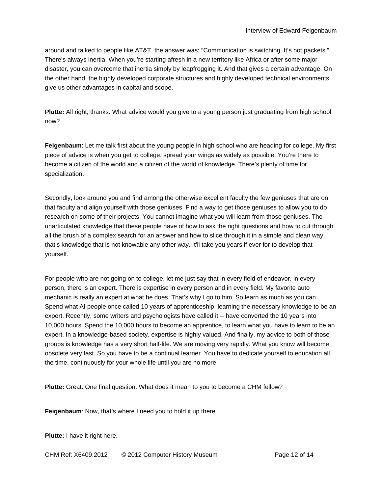around and talked to people like AT&T, the answer was: "Communication is switching. It's not packets." There's always inertia. When you're starting afresh in a new territory like Africa or after some major disaster, you can overcome that inertia simply by leapfrogging it. And that gives a certain advantage. On the other hand, the highly developed corporate structures and highly developed technical environments give us other advantages in capital and scope.

**Plutte:** All right, thanks. What advice would you give to a young person just graduating from high school now?

**Feigenbaum**: Let me talk first about the young people in high school who are heading for college. My first piece of advice is when you get to college, spread your wings as widely as possible. You're there to become a citizen of the world and a citizen of the world of knowledge. There's plenty of time for specialization.

Secondly, look around you and find among the otherwise excellent faculty the few geniuses that are on that faculty and align yourself with those geniuses. Find a way to get those geniuses to allow you to do research on some of their projects. You cannot imagine what you will learn from those geniuses. The unarticulated knowledge that these people have of how to ask the right questions and how to cut through all the brush of a complex search for an answer and how to slice through it in a simple and clean way, that's knowledge that is not knowable any other way. It'll take you years if ever for to develop that yourself.

For people who are not going on to college, let me just say that in every field of endeavor, in every person, there is an expert. There is expertise in every person and in every field. My favorite auto mechanic is really an expert at what he does. That's why I go to him. So learn as much as you can. Spend what AI people once called 10 years of apprenticeship, learning the necessary knowledge to be an expert. Recently, some writers and psychologists have called it -- have converted the 10 years into 10,000 hours. Spend the 10,000 hours to become an apprentice, to learn what you have to learn to be an expert. In a knowledge-based society, expertise is highly valued. And finally, my advice to both of those groups is knowledge has a very short half-life. We are moving very rapidly. What you know will become obsolete very fast. So you have to be a continual learner. You have to dedicate yourself to education all the time, continuously for your whole life until you are no more.

**Plutte:** Great. One final question. What does it mean to you to become a CHM fellow?

**Feigenbaum**: Now, that's where I need you to hold it up there.

**Plutte:** I have it right here.

CHM Ref: X6409.2012 © 2012 Computer History Museum Page 12 of 14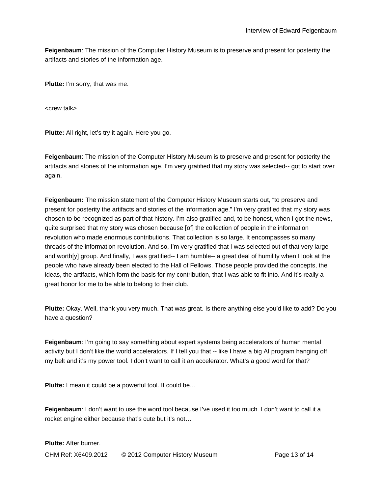**Feigenbaum**: The mission of the Computer History Museum is to preserve and present for posterity the artifacts and stories of the information age.

**Plutte:** I'm sorry, that was me.

<crew talk>

**Plutte:** All right, let's try it again. Here you go.

**Feigenbaum**: The mission of the Computer History Museum is to preserve and present for posterity the artifacts and stories of the information age. I'm very gratified that my story was selected-- got to start over again.

**Feigenbaum:** The mission statement of the Computer History Museum starts out, "to preserve and present for posterity the artifacts and stories of the information age." I'm very gratified that my story was chosen to be recognized as part of that history. I'm also gratified and, to be honest, when I got the news, quite surprised that my story was chosen because [of] the collection of people in the information revolution who made enormous contributions. That collection is so large. It encompasses so many threads of the information revolution. And so, I'm very gratified that I was selected out of that very large and worth[y] group. And finally, I was gratified-- I am humble-- a great deal of humility when I look at the people who have already been elected to the Hall of Fellows. Those people provided the concepts, the ideas, the artifacts, which form the basis for my contribution, that I was able to fit into. And it's really a great honor for me to be able to belong to their club.

**Plutte:** Okay. Well, thank you very much. That was great. Is there anything else you'd like to add? Do you have a question?

**Feigenbaum**: I'm going to say something about expert systems being accelerators of human mental activity but I don't like the world accelerators. If I tell you that -- like I have a big AI program hanging off my belt and it's my power tool. I don't want to call it an accelerator. What's a good word for that?

**Plutte:** I mean it could be a powerful tool. It could be...

**Feigenbaum**: I don't want to use the word tool because I've used it too much. I don't want to call it a rocket engine either because that's cute but it's not…

**Plutte:** After burner.

CHM Ref: X6409.2012 © 2012 Computer History Museum Page 13 of 14